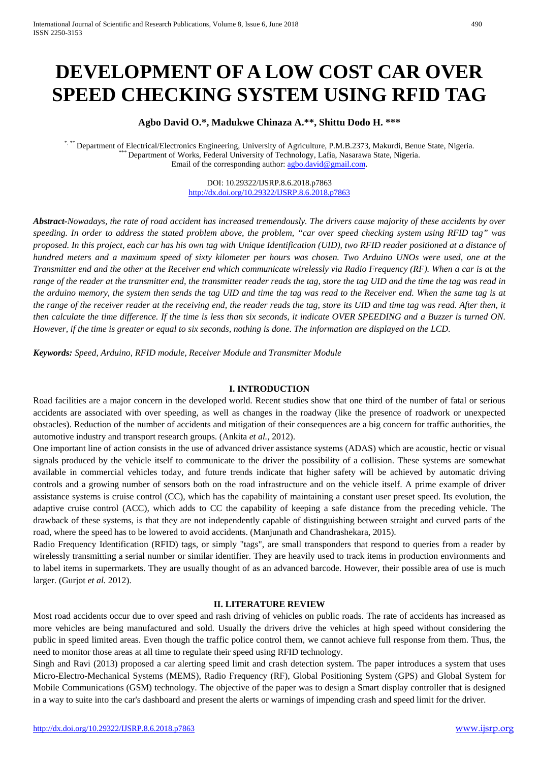# **DEVELOPMENT OF A LOW COST CAR OVER SPEED CHECKING SYSTEM USING RFID TAG**

**Agbo David O.\*, Madukwe Chinaza A.\*\*, Shittu Dodo H. \*\*\***

\*, \*\* Department of Electrical/Electronics Engineering, University of Agriculture, P.M.B.2373, Makurdi, Benue State, Nigeria.<br>\*\*\* Department of Works, Federal University of Technology, Lafia, Nasarawa State, Nigeria. Email of the corresponding author[: agbo.david@gmail.com.](mailto:agbo.david@gmail.com)

> DOI: 10.29322/IJSRP.8.6.2018.p7863 <http://dx.doi.org/10.29322/IJSRP.8.6.2018.p7863>

*Abstract-Nowadays, the rate of road accident has increased tremendously. The drivers cause majority of these accidents by over speeding. In order to address the stated problem above, the problem, "car over speed checking system using RFID tag" was proposed. In this project, each car has his own tag with Unique Identification (UID), two RFID reader positioned at a distance of hundred meters and a maximum speed of sixty kilometer per hours was chosen. Two Arduino UNOs were used, one at the Transmitter end and the other at the Receiver end which communicate wirelessly via Radio Frequency (RF). When a car is at the range of the reader at the transmitter end, the transmitter reader reads the tag, store the tag UID and the time the tag was read in the arduino memory, the system then sends the tag UID and time the tag was read to the Receiver end. When the same tag is at the range of the receiver reader at the receiving end, the reader reads the tag, store its UID and time tag was read. After then, it then calculate the time difference. If the time is less than six seconds, it indicate OVER SPEEDING and a Buzzer is turned ON. However, if the time is greater or equal to six seconds, nothing is done. The information are displayed on the LCD.*

*Keywords: Speed, Arduino, RFID module, Receiver Module and Transmitter Module* 

#### **I. INTRODUCTION**

Road facilities are a major concern in the developed world. Recent studies show that one third of the number of fatal or serious accidents are associated with over speeding, as well as changes in the roadway (like the presence of roadwork or unexpected obstacles). Reduction of the number of accidents and mitigation of their consequences are a big concern for traffic authorities, the automotive industry and transport research groups. (Ankita *et al.*, 2012).

One important line of action consists in the use of advanced driver assistance systems (ADAS) which are acoustic, hectic or visual signals produced by the vehicle itself to communicate to the driver the possibility of a collision. These systems are somewhat available in commercial vehicles today, and future trends indicate that higher safety will be achieved by automatic driving controls and a growing number of sensors both on the road infrastructure and on the vehicle itself. A prime example of driver assistance systems is cruise control (CC), which has the capability of maintaining a constant user preset speed. Its evolution, the adaptive cruise control (ACC), which adds to CC the capability of keeping a safe distance from the preceding vehicle. The drawback of these systems, is that they are not independently capable of distinguishing between straight and curved parts of the road, where the speed has to be lowered to avoid accidents. (Manjunath and Chandrashekara, 2015).

Radio Frequency Identification (RFID) tags, or simply "tags", are small transponders that respond to queries from a reader by wirelessly transmitting a serial number or similar identifier. They are heavily used to track items in production environments and to label items in supermarkets. They are usually thought of as an advanced barcode. However, their possible area of use is much larger. (Gurjot *et al.* 2012).

#### **II. LITERATURE REVIEW**

Most road accidents occur due to over speed and rash driving of vehicles on public roads. The rate of accidents has increased as more vehicles are being manufactured and sold. Usually the drivers drive the vehicles at high speed without considering the public in speed limited areas. Even though the traffic police control them, we cannot achieve full response from them. Thus, the need to monitor those areas at all time to regulate their speed using RFID technology.

Singh and Ravi (2013) proposed a car alerting speed limit and crash detection system. The paper introduces a system that uses Micro-Electro-Mechanical Systems (MEMS), Radio Frequency (RF), Global Positioning System (GPS) and Global System for Mobile Communications (GSM) technology. The objective of the paper was to design a Smart display controller that is designed in a way to suite into the car's dashboard and present the alerts or warnings of impending crash and speed limit for the driver.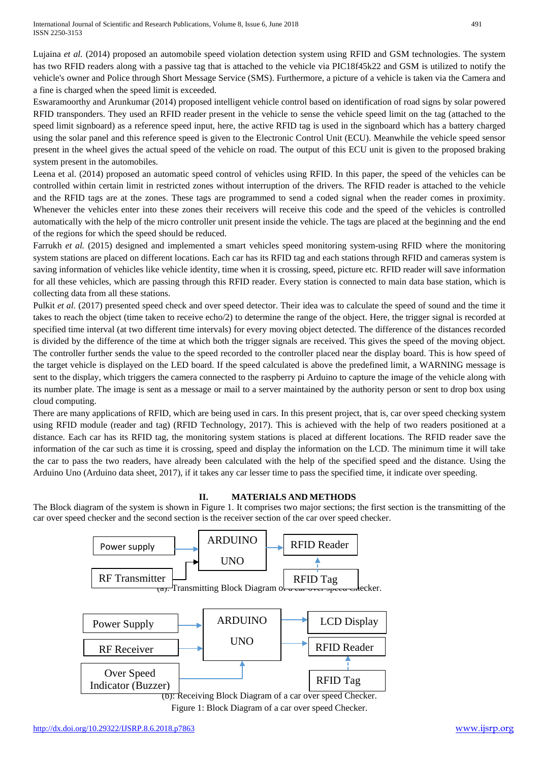Lujaina *et al.* (2014) proposed an automobile speed violation detection system using RFID and GSM technologies. The system has two RFID readers along with a passive tag that is attached to the vehicle via PIC18f45k22 and GSM is utilized to notify the vehicle's owner and Police through Short Message Service (SMS). Furthermore, a picture of a vehicle is taken via the Camera and a fine is charged when the speed limit is exceeded.

Eswaramoorthy and Arunkumar (2014) proposed intelligent vehicle control based on identification of road signs by solar powered RFID transponders. They used an RFID reader present in the vehicle to sense the vehicle speed limit on the tag (attached to the speed limit signboard) as a reference speed input, here, the active RFID tag is used in the signboard which has a battery charged using the solar panel and this reference speed is given to the Electronic Control Unit (ECU). Meanwhile the vehicle speed sensor present in the wheel gives the actual speed of the vehicle on road. The output of this ECU unit is given to the proposed braking system present in the automobiles.

Leena et al. (2014) proposed an automatic speed control of vehicles using RFID. In this paper, the speed of the vehicles can be controlled within certain limit in restricted zones without interruption of the drivers. The RFID reader is attached to the vehicle and the RFID tags are at the zones. These tags are programmed to send a coded signal when the reader comes in proximity. Whenever the vehicles enter into these zones their receivers will receive this code and the speed of the vehicles is controlled automatically with the help of the micro controller unit present inside the vehicle. The tags are placed at the beginning and the end of the regions for which the speed should be reduced.

Farrukh *et al.* (2015) designed and implemented a smart vehicles speed monitoring system-using RFID where the monitoring system stations are placed on different locations. Each car has its RFID tag and each stations through RFID and cameras system is saving information of vehicles like vehicle identity, time when it is crossing, speed, picture etc. RFID reader will save information for all these vehicles, which are passing through this RFID reader. Every station is connected to main data base station, which is collecting data from all these stations.

Pulkit *et al.* (2017) presented speed check and over speed detector. Their idea was to calculate the speed of sound and the time it takes to reach the object (time taken to receive echo/2) to determine the range of the object. Here, the trigger signal is recorded at specified time interval (at two different time intervals) for every moving object detected. The difference of the distances recorded is divided by the difference of the time at which both the trigger signals are received. This gives the speed of the moving object. The controller further sends the value to the speed recorded to the controller placed near the display board. This is how speed of the target vehicle is displayed on the LED board. If the speed calculated is above the predefined limit, a WARNING message is sent to the display, which triggers the camera connected to the raspberry pi Arduino to capture the image of the vehicle along with its number plate. The image is sent as a message or mail to a server maintained by the authority person or sent to drop box using cloud computing.

There are many applications of RFID, which are being used in cars. In this present project, that is, car over speed checking system using RFID module (reader and tag) (RFID Technology, 2017). This is achieved with the help of two readers positioned at a distance. Each car has its RFID tag, the monitoring system stations is placed at different locations. The RFID reader save the information of the car such as time it is crossing, speed and display the information on the LCD. The minimum time it will take the car to pass the two readers, have already been calculated with the help of the specified speed and the distance. Using the Arduino Uno (Arduino data sheet, 2017), if it takes any car lesser time to pass the specified time, it indicate over speeding.

## **II. MATERIALS AND METHODS**

The Block diagram of the system is shown in Figure 1. It comprises two major sections; the first section is the transmitting of the car over speed checker and the second section is the receiver section of the car over speed checker.



Figure 1: Block Diagram of a car over speed Checker.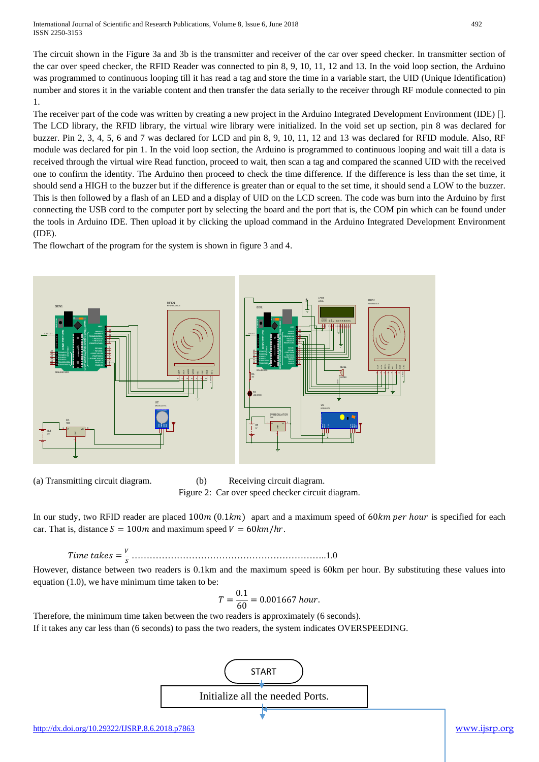International Journal of Scientific and Research Publications, Volume 8, Issue 6, June 2018 492 ISSN 2250-3153

The circuit shown in the Figure 3a and 3b is the transmitter and receiver of the car over speed checker. In transmitter section of the car over speed checker, the RFID Reader was connected to pin 8, 9, 10, 11, 12 and 13. In the void loop section, the Arduino was programmed to continuous looping till it has read a tag and store the time in a variable start, the UID (Unique Identification) number and stores it in the variable content and then transfer the data serially to the receiver through RF module connected to pin 1.

The receiver part of the code was written by creating a new project in the Arduino Integrated Development Environment (IDE) []. The LCD library, the RFID library, the virtual wire library were initialized. In the void set up section, pin 8 was declared for buzzer. Pin 2, 3, 4, 5, 6 and 7 was declared for LCD and pin 8, 9, 10, 11, 12 and 13 was declared for RFID module. Also, RF module was declared for pin 1. In the void loop section, the Arduino is programmed to continuous looping and wait till a data is received through the virtual wire Read function, proceed to wait, then scan a tag and compared the scanned UID with the received one to confirm the identity. The Arduino then proceed to check the time difference. If the difference is less than the set time, it should send a HIGH to the buzzer but if the difference is greater than or equal to the set time, it should send a LOW to the buzzer. This is then followed by a flash of an LED and a display of UID on the LCD screen. The code was burn into the Arduino by first connecting the USB cord to the computer port by selecting the board and the port that is, the COM pin which can be found under the tools in Arduino IDE. Then upload it by clicking the upload command in the Arduino Integrated Development Environment (IDE).

The flowchart of the program for the system is shown in figure 3 and 4.



(a) Transmitting circuit diagram. (b) Receiving circuit diagram. Figure 2: Car over speed checker circuit diagram.

In our study, two RFID reader are placed  $100m(0.1km)$  apart and a maximum speed of 60km per hour is specified for each car. That is, distance  $S = 100m$  and maximum speed  $V = 60km/hr$ .

= ………………………………………………………..1.0

However, distance between two readers is 0.1km and the maximum speed is 60km per hour. By substituting these values into equation (1.0), we have minimum time taken to be:

$$
T = \frac{0.1}{60} = 0.001667 \; hour.
$$

Therefore, the minimum time taken between the two readers is approximately (6 seconds). If it takes any car less than (6 seconds) to pass the two readers, the system indicates OVERSPEEDING.

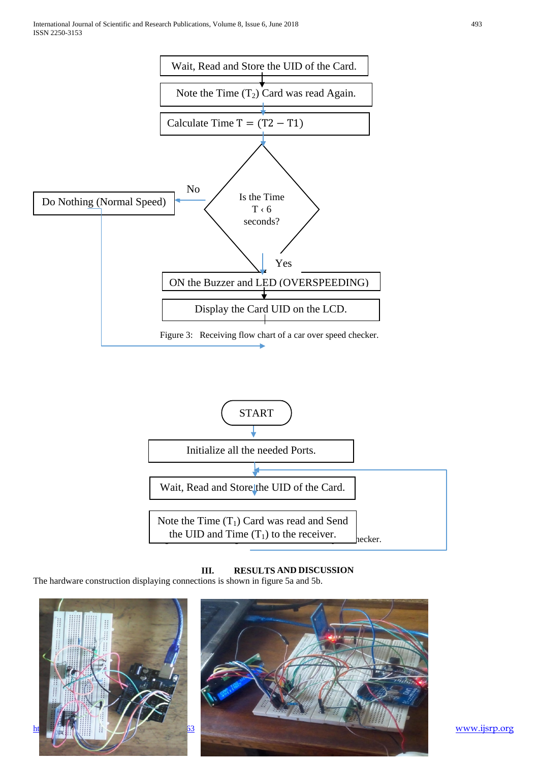



**III. RESULTS AND DISCUSSION**

The hardware construction displaying connections is shown in figure 5a and 5b.



[www.ijsrp.org](http://ijsrp.org/)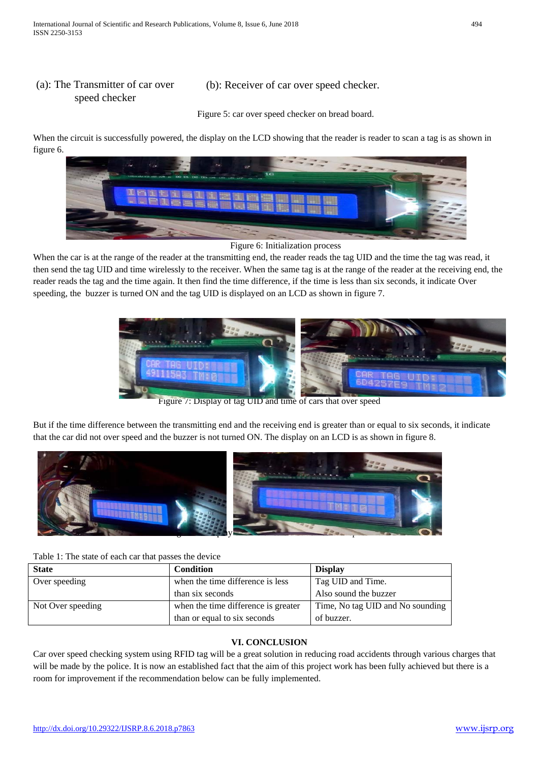## (a): The Transmitter of car over speed checker

(b): Receiver of car over speed checker.

Figure 5: car over speed checker on bread board.

When the circuit is successfully powered, the display on the LCD showing that the reader is reader to scan a tag is as shown in figure 6.



Figure 6: Initialization process

When the car is at the range of the reader at the transmitting end, the reader reads the tag UID and the time the tag was read, it then send the tag UID and time wirelessly to the receiver. When the same tag is at the range of the reader at the receiving end, the reader reads the tag and the time again. It then find the time difference, if the time is less than six seconds, it indicate Over speeding, the buzzer is turned ON and the tag UID is displayed on an LCD as shown in figure 7.



Figure 7: Display of tag UID and time of cars that over speed

But if the time difference between the transmitting end and the receiving end is greater than or equal to six seconds, it indicate that the car did not over speed and the buzzer is not turned ON. The display on an LCD is as shown in figure 8.



| <b>State</b>      | <b>Condition</b>                    | <b>Display</b>                   |
|-------------------|-------------------------------------|----------------------------------|
| Over speeding     | when the time difference is less    | Tag UID and Time.                |
|                   | than six seconds                    | Also sound the buzzer            |
| Not Over speeding | when the time difference is greater | Time, No tag UID and No sounding |
|                   | than or equal to six seconds        | of buzzer.                       |

## **VI. CONCLUSION**

Car over speed checking system using RFID tag will be a great solution in reducing road accidents through various charges that will be made by the police. It is now an established fact that the aim of this project work has been fully achieved but there is a room for improvement if the recommendation below can be fully implemented.